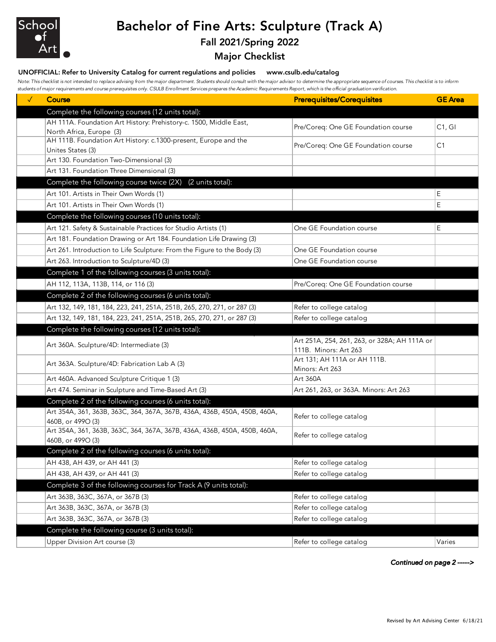

## Bachelor of Fine Arts: Sculpture (Track A)

### Fall 2021/Spring 2022

#### Major Checklist

#### UNOFFICIAL: Refer to University Catalog for current regulations and policies www.csulb.edu/catalog

*Note: This checklist is not intended to replace advising from the major department. Students should consult with the major advisor to determine the appropriate sequence of courses. This checklist is to inform students of major requirements and course prerequisites only. CSULB Enrollment Services prepares the Academic Requirements Report, which is the official graduation verification.*

| $\checkmark$ | Course                                                                               | <b>Prerequisites/Corequisites</b>            | <b>GE</b> Area |
|--------------|--------------------------------------------------------------------------------------|----------------------------------------------|----------------|
|              | Complete the following courses (12 units total):                                     |                                              |                |
|              | AH 111A. Foundation Art History: Prehistory-c. 1500, Middle East,                    | Pre/Coreq: One GE Foundation course          | C1, G1         |
|              | North Africa, Europe (3)                                                             |                                              |                |
|              | AH 111B. Foundation Art History: c.1300-present, Europe and the<br>Unites States (3) | Pre/Coreq: One GE Foundation course          | C1             |
|              | Art 130. Foundation Two-Dimensional (3)                                              |                                              |                |
|              | Art 131. Foundation Three Dimensional (3)                                            |                                              |                |
|              | Complete the following course twice (2X) (2 units total):                            |                                              |                |
|              | Art 101. Artists in Their Own Words (1)                                              |                                              | Ε              |
|              | Art 101. Artists in Their Own Words (1)                                              |                                              | E              |
|              | Complete the following courses (10 units total):                                     |                                              |                |
|              | Art 121. Safety & Sustainable Practices for Studio Artists (1)                       | One GE Foundation course                     | Ε              |
|              | Art 181. Foundation Drawing or Art 184. Foundation Life Drawing (3)                  |                                              |                |
|              | Art 261. Introduction to Life Sculpture: From the Figure to the Body (3)             | One GE Foundation course                     |                |
|              | Art 263. Introduction to Sculpture/4D (3)                                            | One GE Foundation course                     |                |
|              | Complete 1 of the following courses (3 units total):                                 |                                              |                |
|              | AH 112, 113A, 113B, 114, or 116 (3)                                                  | Pre/Coreq: One GE Foundation course          |                |
|              | Complete 2 of the following courses (6 units total):                                 |                                              |                |
|              | Art 132, 149, 181, 184, 223, 241, 251A, 251B, 265, 270, 271, or 287 (3)              | Refer to college catalog                     |                |
|              | Art 132, 149, 181, 184, 223, 241, 251A, 251B, 265, 270, 271, or 287 (3)              | Refer to college catalog                     |                |
|              | Complete the following courses (12 units total):                                     |                                              |                |
|              | Art 360A. Sculpture/4D: Intermediate (3)                                             | Art 251A, 254, 261, 263, or 328A; AH 111A or |                |
|              |                                                                                      | 111B. Minors: Art 263                        |                |
|              | Art 363A. Sculpture/4D: Fabrication Lab A (3)                                        | Art 131; AH 111A or AH 111B.                 |                |
|              | Art 460A. Advanced Sculpture Critique 1 (3)                                          | Minors: Art 263<br>Art 360A                  |                |
|              | Art 474. Seminar in Sculpture and Time-Based Art (3)                                 | Art 261, 263, or 363A. Minors: Art 263       |                |
|              | Complete 2 of the following courses (6 units total):                                 |                                              |                |
|              | Art 354A, 361, 363B, 363C, 364, 367A, 367B, 436A, 436B, 450A, 450B, 460A,            |                                              |                |
|              | 460B, or 499O (3)                                                                    | Refer to college catalog                     |                |
|              | Art 354A, 361, 363B, 363C, 364, 367A, 367B, 436A, 436B, 450A, 450B, 460A,            | Refer to college catalog                     |                |
|              | 460B, or 499O (3)                                                                    |                                              |                |
|              | Complete 2 of the following courses (6 units total):                                 |                                              |                |
|              | AH 438, AH 439, or AH 441 (3)                                                        | Refer to college catalog                     |                |
|              | AH 438, AH 439, or AH 441 (3)                                                        | Refer to college catalog                     |                |
|              | Complete 3 of the following courses for Track A (9 units total):                     |                                              |                |
|              | Art 363B, 363C, 367A, or 367B (3)                                                    | Refer to college catalog                     |                |
|              | Art 363B, 363C, 367A, or 367B (3)                                                    | Refer to college catalog                     |                |
|              | Art 363B, 363C, 367A, or 367B (3)                                                    | Refer to college catalog                     |                |
|              | Complete the following course (3 units total):                                       |                                              |                |
|              | Upper Division Art course (3)                                                        | Refer to college catalog                     | Varies         |

*Continued on page 2 ----->*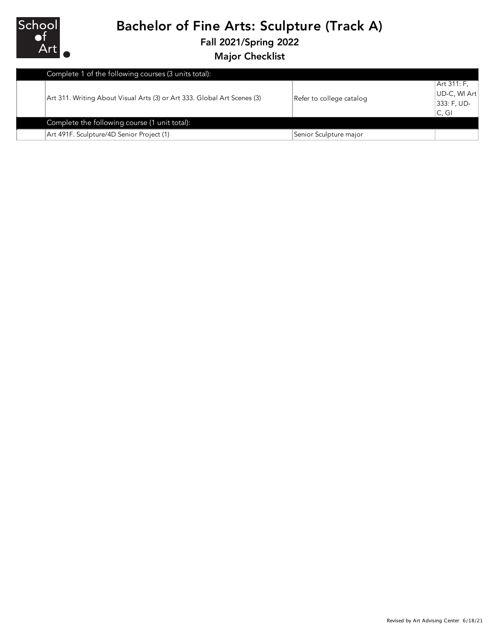

## Bachelor of Fine Arts: Sculpture (Track A)

Fall 2021/Spring 2022

Major Checklist

|  | Complete 1 of the following courses (3 units total):                     |                          |              |
|--|--------------------------------------------------------------------------|--------------------------|--------------|
|  | Art 311. Writing About Visual Arts (3) or Art 333. Global Art Scenes (3) | Refer to college catalog | Art 311: F,  |
|  |                                                                          |                          | UD-C, WI Art |
|  |                                                                          |                          | 333: F, UD-  |
|  |                                                                          |                          | C, GI        |
|  | Complete the following course (1 unit total):                            |                          |              |
|  | Art 491F. Sculpture/4D Senior Project (1)                                | Senior Sculpture major   |              |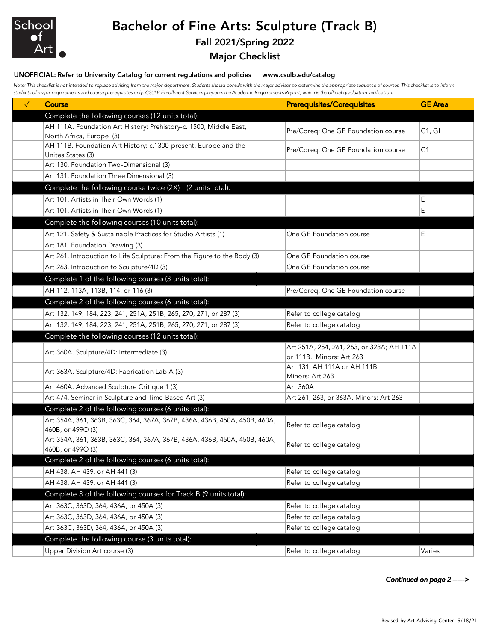

# Bachelor of Fine Arts: Sculpture (Track B)

### Fall 2021/Spring 2022

#### Major Checklist

#### UNOFFICIAL: Refer to University Catalog for current regulations and policies www.csulb.edu/catalog

*Note: This checklist is not intended to replace advising from the major department. Students should consult with the major advisor to determine the appropriate sequence of courses. This checklist is to inform students of major requirements and course prerequisites only. CSULB Enrollment Services prepares the Academic Requirements Report, which is the official graduation verification.*

| $\checkmark$ | Course                                                                    | <b>Prerequisites/Corequisites</b>         | <b>GE</b> Area |
|--------------|---------------------------------------------------------------------------|-------------------------------------------|----------------|
|              | Complete the following courses (12 units total):                          |                                           |                |
|              | AH 111A. Foundation Art History: Prehistory-c. 1500, Middle East,         | Pre/Coreq: One GE Foundation course       | C1, G1         |
|              | North Africa, Europe (3)                                                  |                                           |                |
|              | AH 111B. Foundation Art History: c.1300-present, Europe and the           | Pre/Coreq: One GE Foundation course       | C1             |
|              | Unites States (3)                                                         |                                           |                |
|              | Art 130. Foundation Two-Dimensional (3)                                   |                                           |                |
|              | Art 131. Foundation Three Dimensional (3)                                 |                                           |                |
|              | Complete the following course twice (2X) (2 units total):                 |                                           |                |
|              | Art 101. Artists in Their Own Words (1)                                   |                                           | Е              |
|              | Art 101. Artists in Their Own Words (1)                                   |                                           | Е              |
|              | Complete the following courses (10 units total):                          |                                           |                |
|              | Art 121. Safety & Sustainable Practices for Studio Artists (1)            | One GE Foundation course                  | E              |
|              | Art 181. Foundation Drawing (3)                                           |                                           |                |
|              | Art 261. Introduction to Life Sculpture: From the Figure to the Body (3)  | One GE Foundation course                  |                |
|              | Art 263. Introduction to Sculpture/4D (3)                                 | One GE Foundation course                  |                |
|              | Complete 1 of the following courses (3 units total):                      |                                           |                |
|              | AH 112, 113A, 113B, 114, or 116 (3)                                       | Pre/Coreq: One GE Foundation course       |                |
|              | Complete 2 of the following courses (6 units total):                      |                                           |                |
|              | Art 132, 149, 184, 223, 241, 251A, 251B, 265, 270, 271, or 287 (3)        | Refer to college catalog                  |                |
|              | Art 132, 149, 184, 223, 241, 251A, 251B, 265, 270, 271, or 287 (3)        | Refer to college catalog                  |                |
|              | Complete the following courses (12 units total):                          |                                           |                |
|              |                                                                           | Art 251A, 254, 261, 263, or 328A; AH 111A |                |
|              | Art 360A. Sculpture/4D: Intermediate (3)                                  | or 111B. Minors: Art 263                  |                |
|              | Art 363A. Sculpture/4D: Fabrication Lab A (3)                             | Art 131; AH 111A or AH 111B.              |                |
|              |                                                                           | Minors: Art 263                           |                |
|              | Art 460A. Advanced Sculpture Critique 1 (3)                               | <b>Art 360A</b>                           |                |
|              | Art 474. Seminar in Sculpture and Time-Based Art (3)                      | Art 261, 263, or 363A. Minors: Art 263    |                |
|              | Complete 2 of the following courses (6 units total):                      |                                           |                |
|              | Art 354A, 361, 363B, 363C, 364, 367A, 367B, 436A, 436B, 450A, 450B, 460A, | Refer to college catalog                  |                |
|              | 460B, or 499O (3)                                                         |                                           |                |
|              | Art 354A, 361, 363B, 363C, 364, 367A, 367B, 436A, 436B, 450A, 450B, 460A, | Refer to college catalog                  |                |
|              | 460B, or 499O (3)<br>Complete 2 of the following courses (6 units total): |                                           |                |
|              |                                                                           |                                           |                |
|              | AH 438, AH 439, or AH 441 (3)                                             | Refer to college catalog                  |                |
|              | AH 438, AH 439, or AH 441 (3)                                             | Refer to college catalog                  |                |
|              | Complete 3 of the following courses for Track B (9 units total):          |                                           |                |
|              | Art 363C, 363D, 364, 436A, or 450A (3)                                    | Refer to college catalog                  |                |
|              | Art 363C, 363D, 364, 436A, or 450A (3)                                    | Refer to college catalog                  |                |
|              | Art 363C, 363D, 364, 436A, or 450A (3)                                    | Refer to college catalog                  |                |
|              | Complete the following course (3 units total):                            |                                           |                |
|              | Upper Division Art course (3)                                             | Refer to college catalog                  | Varies         |

*Continued on page 2 ----->*